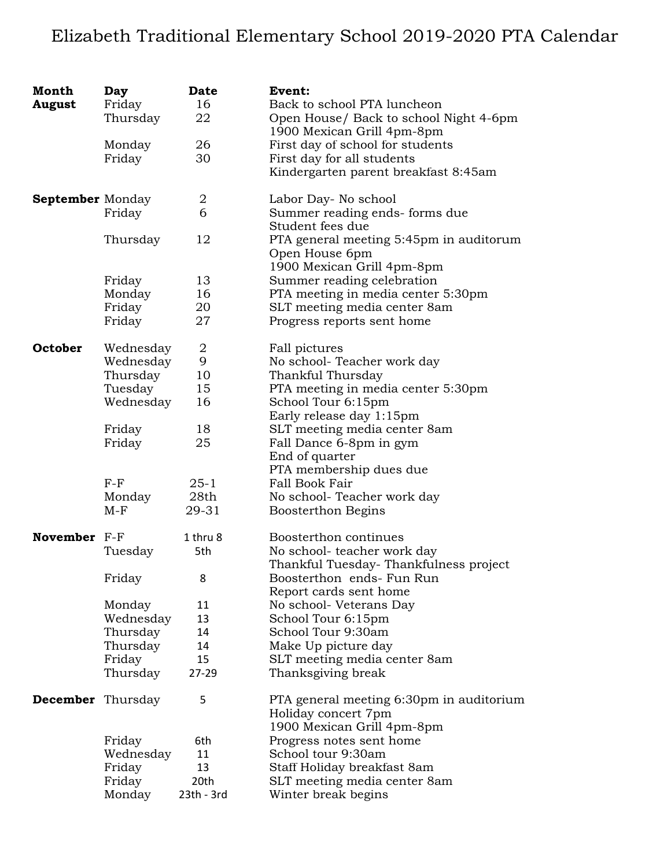## Elizabeth Traditional Elementary School 2019-2020 PTA Calendar

| Month<br><b>August</b>   | Day<br>Friday<br>Thursday | <b>Date</b><br>16<br>22 | Event:<br>Back to school PTA luncheon<br>Open House/ Back to school Night 4-6pm<br>1900 Mexican Grill 4pm-8pm |
|--------------------------|---------------------------|-------------------------|---------------------------------------------------------------------------------------------------------------|
|                          | Monday<br>Friday          | 26<br>30                | First day of school for students<br>First day for all students<br>Kindergarten parent breakfast 8:45am        |
| <b>September</b> Monday  |                           | 2                       | Labor Day- No school                                                                                          |
|                          | Friday                    | 6                       | Summer reading ends- forms due<br>Student fees due                                                            |
|                          | Thursday                  | 12                      | PTA general meeting 5:45pm in auditorum<br>Open House 6pm<br>1900 Mexican Grill 4pm-8pm                       |
|                          | Friday                    | 13                      | Summer reading celebration                                                                                    |
|                          | Monday                    | 16                      | PTA meeting in media center 5:30pm                                                                            |
|                          | Friday                    | 20                      | SLT meeting media center 8am                                                                                  |
|                          | Friday                    | 27                      | Progress reports sent home                                                                                    |
| October                  | Wednesday                 | $\boldsymbol{2}$        | Fall pictures                                                                                                 |
|                          | Wednesday                 | 9                       | No school-Teacher work day                                                                                    |
|                          | Thursday                  | 10                      | Thankful Thursday                                                                                             |
|                          | Tuesday                   | 15                      | PTA meeting in media center 5:30pm                                                                            |
|                          | Wednesday                 | 16                      | School Tour 6:15pm                                                                                            |
|                          | Friday                    | 18                      | Early release day 1:15pm<br>SLT meeting media center 8am                                                      |
|                          | Friday                    | 25                      | Fall Dance 6-8pm in gym                                                                                       |
|                          |                           |                         | End of quarter                                                                                                |
|                          |                           |                         | PTA membership dues due                                                                                       |
|                          | $F-F$                     | $25 - 1$                | Fall Book Fair                                                                                                |
|                          | Monday                    | 28th                    | No school- Teacher work day                                                                                   |
|                          | $M-F$                     | 29-31                   | Boosterthon Begins                                                                                            |
| November F-F             |                           | 1 thru 8                | Boosterthon continues                                                                                         |
|                          | Tuesday                   | 5th                     | No school- teacher work day                                                                                   |
|                          | Friday                    | 8                       | Thankful Tuesday-Thankfulness project<br>Boosterthon ends- Fun Run                                            |
|                          |                           |                         | Report cards sent home                                                                                        |
|                          | Monday                    | 11                      | No school- Veterans Day                                                                                       |
|                          | Wednesday                 | 13                      | School Tour 6:15pm                                                                                            |
|                          | Thursday                  | 14                      | School Tour 9:30am                                                                                            |
|                          | Thursday                  | 14                      | Make Up picture day                                                                                           |
|                          | Friday                    | 15                      | SLT meeting media center 8am                                                                                  |
|                          | Thursday                  | 27-29                   | Thanksgiving break                                                                                            |
| <b>December</b> Thursday |                           | 5                       | PTA general meeting 6:30pm in auditorium<br>Holiday concert 7pm<br>1900 Mexican Grill 4pm-8pm                 |
|                          | Friday                    | 6th                     | Progress notes sent home                                                                                      |
|                          | Wednesday                 | 11                      | School tour 9:30am                                                                                            |
|                          | Friday                    | 13                      | Staff Holiday breakfast 8am                                                                                   |
|                          | Friday                    | 20th                    | SLT meeting media center 8am                                                                                  |
|                          | Monday                    | 23th - 3rd              | Winter break begins                                                                                           |